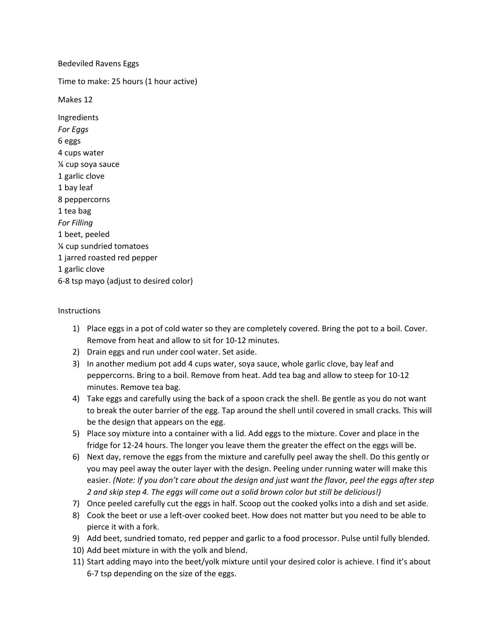## Bedeviled Ravens Eggs

Time to make: 25 hours (1 hour active)

Makes 12

Ingredients *For Eggs* 6 eggs 4 cups water ¼ cup soya sauce 1 garlic clove 1 bay leaf 8 peppercorns 1 tea bag *For Filling* 1 beet, peeled ¼ cup sundried tomatoes 1 jarred roasted red pepper 1 garlic clove 6-8 tsp mayo (adjust to desired color)

## Instructions

- 1) Place eggs in a pot of cold water so they are completely covered. Bring the pot to a boil. Cover. Remove from heat and allow to sit for 10-12 minutes.
- 2) Drain eggs and run under cool water. Set aside.
- 3) In another medium pot add 4 cups water, soya sauce, whole garlic clove, bay leaf and peppercorns. Bring to a boil. Remove from heat. Add tea bag and allow to steep for 10-12 minutes. Remove tea bag.
- 4) Take eggs and carefully using the back of a spoon crack the shell. Be gentle as you do not want to break the outer barrier of the egg. Tap around the shell until covered in small cracks. This will be the design that appears on the egg.
- 5) Place soy mixture into a container with a lid. Add eggs to the mixture. Cover and place in the fridge for 12-24 hours. The longer you leave them the greater the effect on the eggs will be.
- 6) Next day, remove the eggs from the mixture and carefully peel away the shell. Do this gently or you may peel away the outer layer with the design. Peeling under running water will make this easier. *(Note: If you don't care about the design and just want the flavor, peel the eggs after step 2 and skip step 4. The eggs will come out a solid brown color but still be delicious!)*
- 7) Once peeled carefully cut the eggs in half. Scoop out the cooked yolks into a dish and set aside.
- 8) Cook the beet or use a left-over cooked beet. How does not matter but you need to be able to pierce it with a fork.
- 9) Add beet, sundried tomato, red pepper and garlic to a food processor. Pulse until fully blended.
- 10) Add beet mixture in with the yolk and blend.
- 11) Start adding mayo into the beet/yolk mixture until your desired color is achieve. I find it's about 6-7 tsp depending on the size of the eggs.